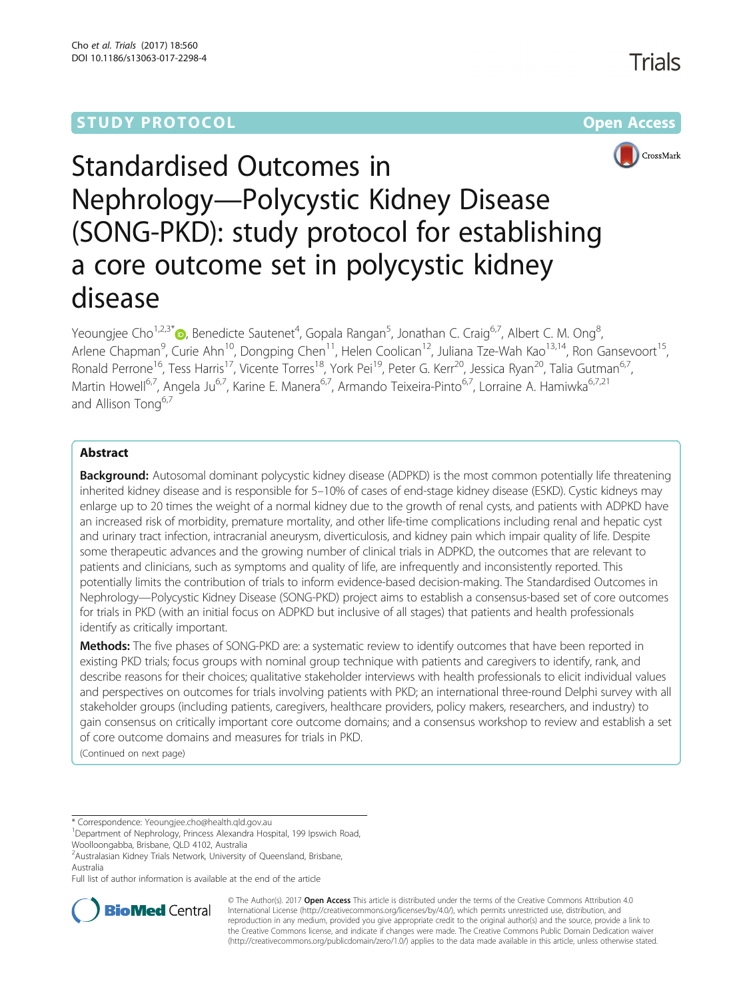# **STUDY PROTOCOL CONSUMING THE RESERVE ACCESS**



# Standardised Outcomes in Nephrology—Polycystic Kidney Disease (SONG-PKD): study protocol for establishing a core outcome set in polycystic kidney disease

Yeoungjee Cho<sup>1,2,3[\\*](http://orcid.org/0000-0002-3502-9837)</sup>®, Benedicte Sautenet<sup>4</sup>, Gopala Rangan<sup>5</sup>, Jonathan C. Craig<sup>6,7</sup>, Albert C. M. Ong<sup>8</sup> ;<br>, Arlene Chapman<sup>9</sup>, Curie Ahn<sup>10</sup>, Dongping Chen<sup>11</sup>, Helen Coolican<sup>12</sup>, Juliana Tze-Wah Kao<sup>13,14</sup>, Ron Gansevoort<sup>15</sup>, Ronald Perrone<sup>16</sup>, Tess Harris<sup>17</sup>, Vicente Torres<sup>18</sup>, York Pei<sup>19</sup>, Peter G. Kerr<sup>20</sup>, Jessica Ryan<sup>20</sup>, Talia Gutman<sup>6,7</sup>, Martin Howell<sup>6,7</sup>, Angela Ju<sup>6,7</sup>, Karine E. Manera<sup>6,7</sup>, Armando Teixeira-Pinto<sup>6,7</sup>, Lorraine A. Hamiwka<sup>6,7,21</sup> and Allison Tong<sup>6,7</sup>

# Abstract

**Background:** Autosomal dominant polycystic kidney disease (ADPKD) is the most common potentially life threatening inherited kidney disease and is responsible for 5–10% of cases of end-stage kidney disease (ESKD). Cystic kidneys may enlarge up to 20 times the weight of a normal kidney due to the growth of renal cysts, and patients with ADPKD have an increased risk of morbidity, premature mortality, and other life-time complications including renal and hepatic cyst and urinary tract infection, intracranial aneurysm, diverticulosis, and kidney pain which impair quality of life. Despite some therapeutic advances and the growing number of clinical trials in ADPKD, the outcomes that are relevant to patients and clinicians, such as symptoms and quality of life, are infrequently and inconsistently reported. This potentially limits the contribution of trials to inform evidence-based decision-making. The Standardised Outcomes in Nephrology—Polycystic Kidney Disease (SONG-PKD) project aims to establish a consensus-based set of core outcomes for trials in PKD (with an initial focus on ADPKD but inclusive of all stages) that patients and health professionals identify as critically important.

Methods: The five phases of SONG-PKD are: a systematic review to identify outcomes that have been reported in existing PKD trials; focus groups with nominal group technique with patients and caregivers to identify, rank, and describe reasons for their choices; qualitative stakeholder interviews with health professionals to elicit individual values and perspectives on outcomes for trials involving patients with PKD; an international three-round Delphi survey with all stakeholder groups (including patients, caregivers, healthcare providers, policy makers, researchers, and industry) to gain consensus on critically important core outcome domains; and a consensus workshop to review and establish a set of core outcome domains and measures for trials in PKD.

(Continued on next page)

\* Correspondence: [Yeoungjee.cho@health.qld.gov.au](mailto:Yeoungjee.cho@health.qld.gov.au) <sup>1</sup>

<sup>1</sup>Department of Nephrology, Princess Alexandra Hospital, 199 Ipswich Road, Woolloongabba, Brisbane, QLD 4102, Australia

<sup>2</sup> Australasian Kidney Trials Network, University of Queensland, Brisbane, Australia

Full list of author information is available at the end of the article



© The Author(s). 2017 **Open Access** This article is distributed under the terms of the Creative Commons Attribution 4.0 International License [\(http://creativecommons.org/licenses/by/4.0/](http://creativecommons.org/licenses/by/4.0/)), which permits unrestricted use, distribution, and reproduction in any medium, provided you give appropriate credit to the original author(s) and the source, provide a link to the Creative Commons license, and indicate if changes were made. The Creative Commons Public Domain Dedication waiver [\(http://creativecommons.org/publicdomain/zero/1.0/](http://creativecommons.org/publicdomain/zero/1.0/)) applies to the data made available in this article, unless otherwise stated.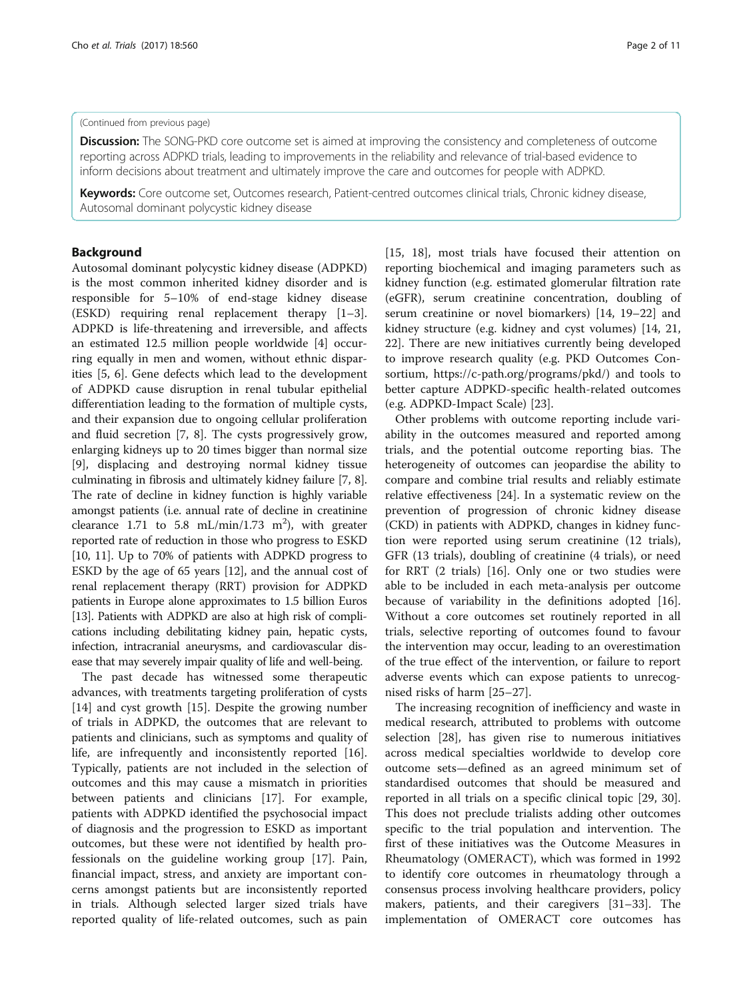#### (Continued from previous page)

**Discussion:** The SONG-PKD core outcome set is aimed at improving the consistency and completeness of outcome reporting across ADPKD trials, leading to improvements in the reliability and relevance of trial-based evidence to inform decisions about treatment and ultimately improve the care and outcomes for people with ADPKD.

Keywords: Core outcome set, Outcomes research, Patient-centred outcomes clinical trials, Chronic kidney disease, Autosomal dominant polycystic kidney disease

# Background

Autosomal dominant polycystic kidney disease (ADPKD) is the most common inherited kidney disorder and is responsible for 5–10% of end-stage kidney disease (ESKD) requiring renal replacement therapy [\[1](#page-8-0)–[3](#page-8-0)]. ADPKD is life-threatening and irreversible, and affects an estimated 12.5 million people worldwide [[4](#page-8-0)] occurring equally in men and women, without ethnic disparities [[5, 6](#page-8-0)]. Gene defects which lead to the development of ADPKD cause disruption in renal tubular epithelial differentiation leading to the formation of multiple cysts, and their expansion due to ongoing cellular proliferation and fluid secretion [\[7](#page-8-0), [8](#page-8-0)]. The cysts progressively grow, enlarging kidneys up to 20 times bigger than normal size [[9\]](#page-8-0), displacing and destroying normal kidney tissue culminating in fibrosis and ultimately kidney failure [[7](#page-8-0), [8](#page-8-0)]. The rate of decline in kidney function is highly variable amongst patients (i.e. annual rate of decline in creatinine clearance 1.71 to 5.8 mL/min/1.73 m<sup>2</sup>), with greater reported rate of reduction in those who progress to ESKD [[10](#page-8-0), [11\]](#page-9-0). Up to 70% of patients with ADPKD progress to ESKD by the age of 65 years [\[12](#page-9-0)], and the annual cost of renal replacement therapy (RRT) provision for ADPKD patients in Europe alone approximates to 1.5 billion Euros [[13](#page-9-0)]. Patients with ADPKD are also at high risk of complications including debilitating kidney pain, hepatic cysts, infection, intracranial aneurysms, and cardiovascular disease that may severely impair quality of life and well-being.

The past decade has witnessed some therapeutic advances, with treatments targeting proliferation of cysts [[14\]](#page-9-0) and cyst growth [\[15](#page-9-0)]. Despite the growing number of trials in ADPKD, the outcomes that are relevant to patients and clinicians, such as symptoms and quality of life, are infrequently and inconsistently reported [\[16](#page-9-0)]. Typically, patients are not included in the selection of outcomes and this may cause a mismatch in priorities between patients and clinicians [[17\]](#page-9-0). For example, patients with ADPKD identified the psychosocial impact of diagnosis and the progression to ESKD as important outcomes, but these were not identified by health professionals on the guideline working group [[17\]](#page-9-0). Pain, financial impact, stress, and anxiety are important concerns amongst patients but are inconsistently reported in trials. Although selected larger sized trials have reported quality of life-related outcomes, such as pain

[[15, 18\]](#page-9-0), most trials have focused their attention on reporting biochemical and imaging parameters such as kidney function (e.g. estimated glomerular filtration rate (eGFR), serum creatinine concentration, doubling of serum creatinine or novel biomarkers) [\[14](#page-9-0), [19](#page-9-0)–[22](#page-9-0)] and kidney structure (e.g. kidney and cyst volumes) [[14](#page-9-0), [21](#page-9-0), [22\]](#page-9-0). There are new initiatives currently being developed to improve research quality (e.g. PKD Outcomes Consortium, [https://c-path.org/programs/pkd/\)](https://c-path.org/programs/pkd/) and tools to better capture ADPKD-specific health-related outcomes (e.g. ADPKD-Impact Scale) [[23\]](#page-9-0).

Other problems with outcome reporting include variability in the outcomes measured and reported among trials, and the potential outcome reporting bias. The heterogeneity of outcomes can jeopardise the ability to compare and combine trial results and reliably estimate relative effectiveness [[24\]](#page-9-0). In a systematic review on the prevention of progression of chronic kidney disease (CKD) in patients with ADPKD, changes in kidney function were reported using serum creatinine (12 trials), GFR (13 trials), doubling of creatinine (4 trials), or need for RRT (2 trials) [\[16](#page-9-0)]. Only one or two studies were able to be included in each meta-analysis per outcome because of variability in the definitions adopted [\[16](#page-9-0)]. Without a core outcomes set routinely reported in all trials, selective reporting of outcomes found to favour the intervention may occur, leading to an overestimation of the true effect of the intervention, or failure to report adverse events which can expose patients to unrecognised risks of harm [[25](#page-9-0)–[27](#page-9-0)].

The increasing recognition of inefficiency and waste in medical research, attributed to problems with outcome selection [[28\]](#page-9-0), has given rise to numerous initiatives across medical specialties worldwide to develop core outcome sets—defined as an agreed minimum set of standardised outcomes that should be measured and reported in all trials on a specific clinical topic [[29, 30](#page-9-0)]. This does not preclude trialists adding other outcomes specific to the trial population and intervention. The first of these initiatives was the Outcome Measures in Rheumatology (OMERACT), which was formed in 1992 to identify core outcomes in rheumatology through a consensus process involving healthcare providers, policy makers, patients, and their caregivers [\[31](#page-9-0)–[33\]](#page-9-0). The implementation of OMERACT core outcomes has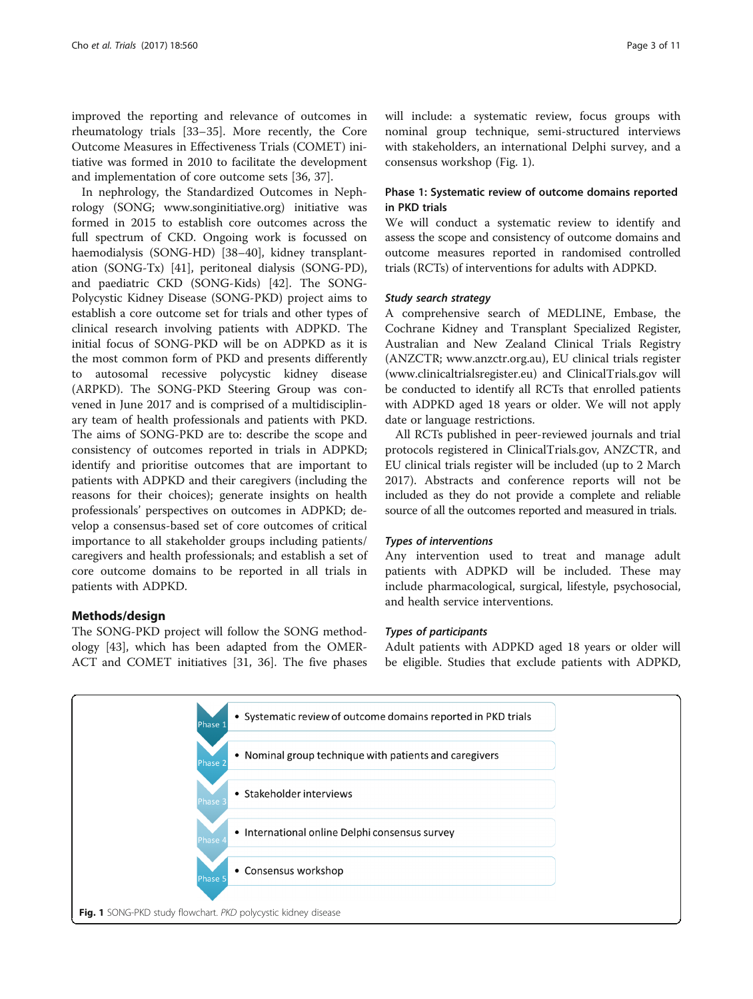improved the reporting and relevance of outcomes in rheumatology trials [[33](#page-9-0)–[35](#page-9-0)]. More recently, the Core Outcome Measures in Effectiveness Trials (COMET) initiative was formed in 2010 to facilitate the development and implementation of core outcome sets [[36, 37](#page-9-0)].

In nephrology, the Standardized Outcomes in Nephrology (SONG; [www.songinitiative.org](http://www.songinitiative.org/)) initiative was formed in 2015 to establish core outcomes across the full spectrum of CKD. Ongoing work is focussed on haemodialysis (SONG-HD) [\[38](#page-9-0)–[40\]](#page-9-0), kidney transplantation (SONG-Tx) [\[41](#page-9-0)], peritoneal dialysis (SONG-PD), and paediatric CKD (SONG-Kids) [[42\]](#page-9-0). The SONG-Polycystic Kidney Disease (SONG-PKD) project aims to establish a core outcome set for trials and other types of clinical research involving patients with ADPKD. The initial focus of SONG-PKD will be on ADPKD as it is the most common form of PKD and presents differently to autosomal recessive polycystic kidney disease (ARPKD). The SONG-PKD Steering Group was convened in June 2017 and is comprised of a multidisciplinary team of health professionals and patients with PKD. The aims of SONG-PKD are to: describe the scope and consistency of outcomes reported in trials in ADPKD; identify and prioritise outcomes that are important to patients with ADPKD and their caregivers (including the reasons for their choices); generate insights on health professionals' perspectives on outcomes in ADPKD; develop a consensus-based set of core outcomes of critical importance to all stakeholder groups including patients/ caregivers and health professionals; and establish a set of core outcome domains to be reported in all trials in patients with ADPKD.

# Methods/design

The SONG-PKD project will follow the SONG methodology [[43\]](#page-9-0), which has been adapted from the OMER-ACT and COMET initiatives [\[31](#page-9-0), [36\]](#page-9-0). The five phases will include: a systematic review, focus groups with nominal group technique, semi-structured interviews with stakeholders, an international Delphi survey, and a consensus workshop (Fig. 1).

# Phase 1: Systematic review of outcome domains reported in PKD trials

We will conduct a systematic review to identify and assess the scope and consistency of outcome domains and outcome measures reported in randomised controlled trials (RCTs) of interventions for adults with ADPKD.

#### Study search strategy

A comprehensive search of MEDLINE, Embase, the Cochrane Kidney and Transplant Specialized Register, Australian and New Zealand Clinical Trials Registry (ANZCTR; [www.anzctr.org.au\)](http://www.anzctr.org.au/), EU clinical trials register ([www.clinicaltrialsregister.eu\)](http://www.clinicaltrialsregister.eu/) and ClinicalTrials.gov will be conducted to identify all RCTs that enrolled patients with ADPKD aged 18 years or older. We will not apply date or language restrictions.

All RCTs published in peer-reviewed journals and trial protocols registered in ClinicalTrials.gov, ANZCTR, and EU clinical trials register will be included (up to 2 March 2017). Abstracts and conference reports will not be included as they do not provide a complete and reliable source of all the outcomes reported and measured in trials.

#### Types of interventions

Any intervention used to treat and manage adult patients with ADPKD will be included. These may include pharmacological, surgical, lifestyle, psychosocial, and health service interventions.

#### Types of participants

Adult patients with ADPKD aged 18 years or older will be eligible. Studies that exclude patients with ADPKD,

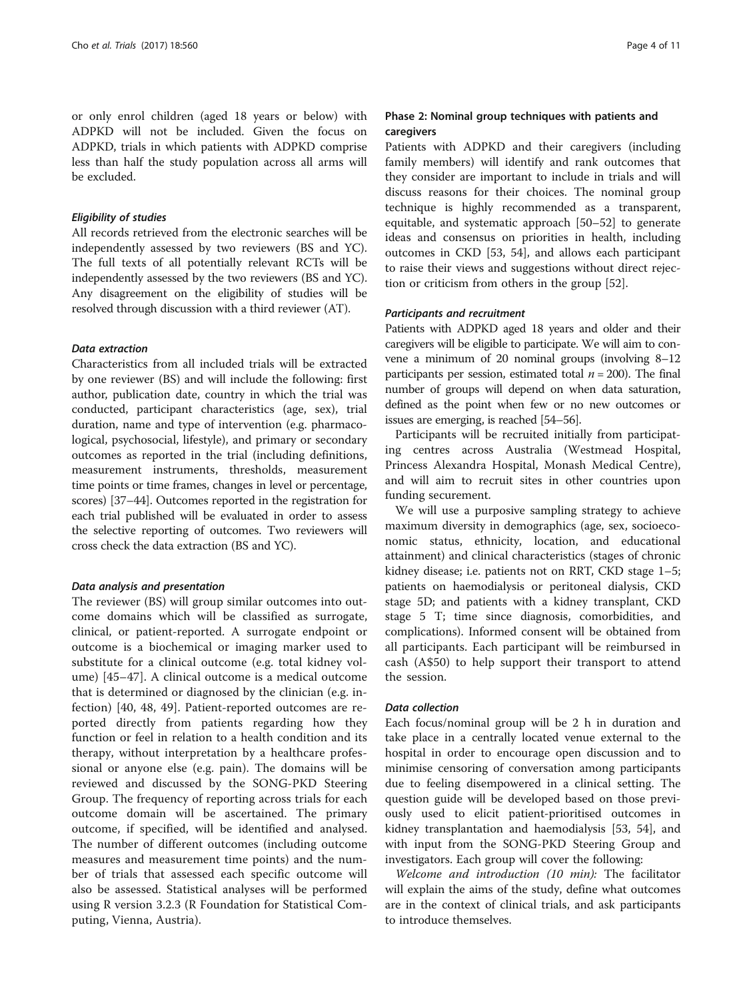or only enrol children (aged 18 years or below) with ADPKD will not be included. Given the focus on ADPKD, trials in which patients with ADPKD comprise less than half the study population across all arms will be excluded.

#### Eligibility of studies

All records retrieved from the electronic searches will be independently assessed by two reviewers (BS and YC). The full texts of all potentially relevant RCTs will be independently assessed by the two reviewers (BS and YC). Any disagreement on the eligibility of studies will be resolved through discussion with a third reviewer (AT).

#### Data extraction

Characteristics from all included trials will be extracted by one reviewer (BS) and will include the following: first author, publication date, country in which the trial was conducted, participant characteristics (age, sex), trial duration, name and type of intervention (e.g. pharmacological, psychosocial, lifestyle), and primary or secondary outcomes as reported in the trial (including definitions, measurement instruments, thresholds, measurement time points or time frames, changes in level or percentage, scores) [\[37](#page-9-0)–[44](#page-9-0)]. Outcomes reported in the registration for each trial published will be evaluated in order to assess the selective reporting of outcomes. Two reviewers will cross check the data extraction (BS and YC).

#### Data analysis and presentation

The reviewer (BS) will group similar outcomes into outcome domains which will be classified as surrogate, clinical, or patient-reported. A surrogate endpoint or outcome is a biochemical or imaging marker used to substitute for a clinical outcome (e.g. total kidney volume) [[45](#page-9-0)–[47\]](#page-9-0). A clinical outcome is a medical outcome that is determined or diagnosed by the clinician (e.g. infection) [[40, 48](#page-9-0), [49](#page-9-0)]. Patient-reported outcomes are reported directly from patients regarding how they function or feel in relation to a health condition and its therapy, without interpretation by a healthcare professional or anyone else (e.g. pain). The domains will be reviewed and discussed by the SONG-PKD Steering Group. The frequency of reporting across trials for each outcome domain will be ascertained. The primary outcome, if specified, will be identified and analysed. The number of different outcomes (including outcome measures and measurement time points) and the number of trials that assessed each specific outcome will also be assessed. Statistical analyses will be performed using R version 3.2.3 (R Foundation for Statistical Computing, Vienna, Austria).

# Phase 2: Nominal group techniques with patients and caregivers

Patients with ADPKD and their caregivers (including family members) will identify and rank outcomes that they consider are important to include in trials and will discuss reasons for their choices. The nominal group technique is highly recommended as a transparent, equitable, and systematic approach [[50](#page-9-0)–[52](#page-9-0)] to generate ideas and consensus on priorities in health, including outcomes in CKD [[53, 54\]](#page-10-0), and allows each participant to raise their views and suggestions without direct rejection or criticism from others in the group [[52\]](#page-9-0).

#### Participants and recruitment

Patients with ADPKD aged 18 years and older and their caregivers will be eligible to participate. We will aim to convene a minimum of 20 nominal groups (involving 8–12 participants per session, estimated total  $n = 200$ ). The final number of groups will depend on when data saturation, defined as the point when few or no new outcomes or issues are emerging, is reached [\[54](#page-10-0)–[56](#page-10-0)].

Participants will be recruited initially from participating centres across Australia (Westmead Hospital, Princess Alexandra Hospital, Monash Medical Centre), and will aim to recruit sites in other countries upon funding securement.

We will use a purposive sampling strategy to achieve maximum diversity in demographics (age, sex, socioeconomic status, ethnicity, location, and educational attainment) and clinical characteristics (stages of chronic kidney disease; i.e. patients not on RRT, CKD stage 1–5; patients on haemodialysis or peritoneal dialysis, CKD stage 5D; and patients with a kidney transplant, CKD stage 5 T; time since diagnosis, comorbidities, and complications). Informed consent will be obtained from all participants. Each participant will be reimbursed in cash (A\$50) to help support their transport to attend the session.

## Data collection

Each focus/nominal group will be 2 h in duration and take place in a centrally located venue external to the hospital in order to encourage open discussion and to minimise censoring of conversation among participants due to feeling disempowered in a clinical setting. The question guide will be developed based on those previously used to elicit patient-prioritised outcomes in kidney transplantation and haemodialysis [\[53, 54\]](#page-10-0), and with input from the SONG-PKD Steering Group and investigators. Each group will cover the following:

Welcome and introduction (10 min): The facilitator will explain the aims of the study, define what outcomes are in the context of clinical trials, and ask participants to introduce themselves.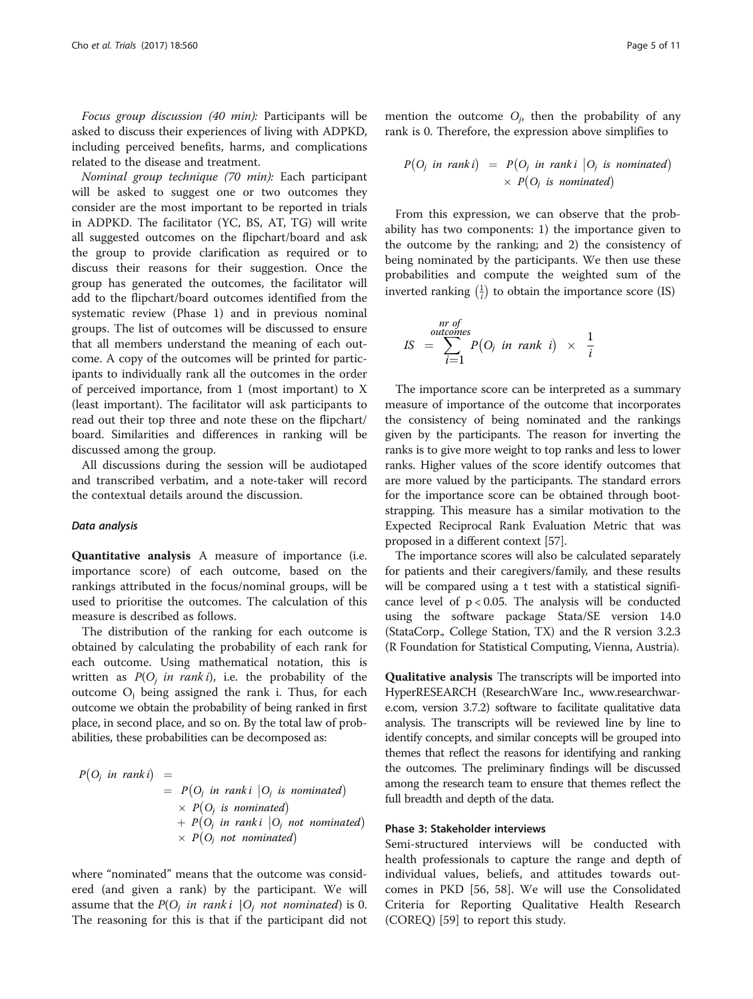Focus group discussion (40 min): Participants will be asked to discuss their experiences of living with ADPKD, including perceived benefits, harms, and complications related to the disease and treatment.

Nominal group technique (70 min): Each participant will be asked to suggest one or two outcomes they consider are the most important to be reported in trials in ADPKD. The facilitator (YC, BS, AT, TG) will write all suggested outcomes on the flipchart/board and ask the group to provide clarification as required or to discuss their reasons for their suggestion. Once the group has generated the outcomes, the facilitator will add to the flipchart/board outcomes identified from the systematic review (Phase 1) and in previous nominal groups. The list of outcomes will be discussed to ensure that all members understand the meaning of each outcome. A copy of the outcomes will be printed for participants to individually rank all the outcomes in the order of perceived importance, from 1 (most important) to X (least important). The facilitator will ask participants to read out their top three and note these on the flipchart/ board. Similarities and differences in ranking will be discussed among the group.

All discussions during the session will be audiotaped and transcribed verbatim, and a note-taker will record the contextual details around the discussion.

#### Data analysis

Quantitative analysis A measure of importance (i.e. importance score) of each outcome, based on the rankings attributed in the focus/nominal groups, will be used to prioritise the outcomes. The calculation of this measure is described as follows.

The distribution of the ranking for each outcome is obtained by calculating the probability of each rank for each outcome. Using mathematical notation, this is written as  $P(O_i \text{ in } rank i)$ , i.e. the probability of the outcome  $O_i$  being assigned the rank i. Thus, for each outcome we obtain the probability of being ranked in first place, in second place, and so on. By the total law of probabilities, these probabilities can be decomposed as:

$$
P(O_j \text{ in } rank i) =
$$
  
=  $P(O_j \text{ in } rank i | O_j \text{ is noninated})$   
 $\times P(O_j \text{ is noninated})$   
+  $P(O_j \text{ in } rank i | O_j \text{ not noninated})$   
 $\times P(O_j \text{ not noninated})$ 

where "nominated" means that the outcome was considered (and given a rank) by the participant. We will assume that the  $P(O_i \text{ in } rank i \mid O_i \text{ not } nominated)$  is 0. The reasoning for this is that if the participant did not mention the outcome  $O_i$ , then the probability of any rank is 0. Therefore, the expression above simplifies to

$$
P(O_j \text{ in } rank i) = P(O_j \text{ in } rank i | O_j \text{ is noninated})
$$
  
×  $P(O_j \text{ is noninated})$ 

From this expression, we can observe that the probability has two components: 1) the importance given to the outcome by the ranking; and 2) the consistency of being nominated by the participants. We then use these probabilities and compute the weighted sum of the inverted ranking  $(\frac{1}{i})$  to obtain the importance score (IS)

$$
IS = \sum_{i=1}^{nr \text{ of}} P(O_i \text{ in } rank \text{ } i) \times \frac{1}{i}
$$

The importance score can be interpreted as a summary measure of importance of the outcome that incorporates the consistency of being nominated and the rankings given by the participants. The reason for inverting the ranks is to give more weight to top ranks and less to lower ranks. Higher values of the score identify outcomes that are more valued by the participants. The standard errors for the importance score can be obtained through bootstrapping. This measure has a similar motivation to the Expected Reciprocal Rank Evaluation Metric that was proposed in a different context [[57](#page-10-0)].

The importance scores will also be calculated separately for patients and their caregivers/family, and these results will be compared using a t test with a statistical significance level of  $p < 0.05$ . The analysis will be conducted using the software package Stata/SE version 14.0 (StataCorp., College Station, TX) and the R version 3.2.3 (R Foundation for Statistical Computing, Vienna, Austria).

Qualitative analysis The transcripts will be imported into HyperRESEARCH (ResearchWare Inc., [www.researchwar](http://www.researchware.com/)[e.com](http://www.researchware.com/), version 3.7.2) software to facilitate qualitative data analysis. The transcripts will be reviewed line by line to identify concepts, and similar concepts will be grouped into themes that reflect the reasons for identifying and ranking the outcomes. The preliminary findings will be discussed among the research team to ensure that themes reflect the full breadth and depth of the data.

#### Phase 3: Stakeholder interviews

Semi-structured interviews will be conducted with health professionals to capture the range and depth of individual values, beliefs, and attitudes towards outcomes in PKD [[56, 58](#page-10-0)]. We will use the Consolidated Criteria for Reporting Qualitative Health Research (COREQ) [[59\]](#page-10-0) to report this study.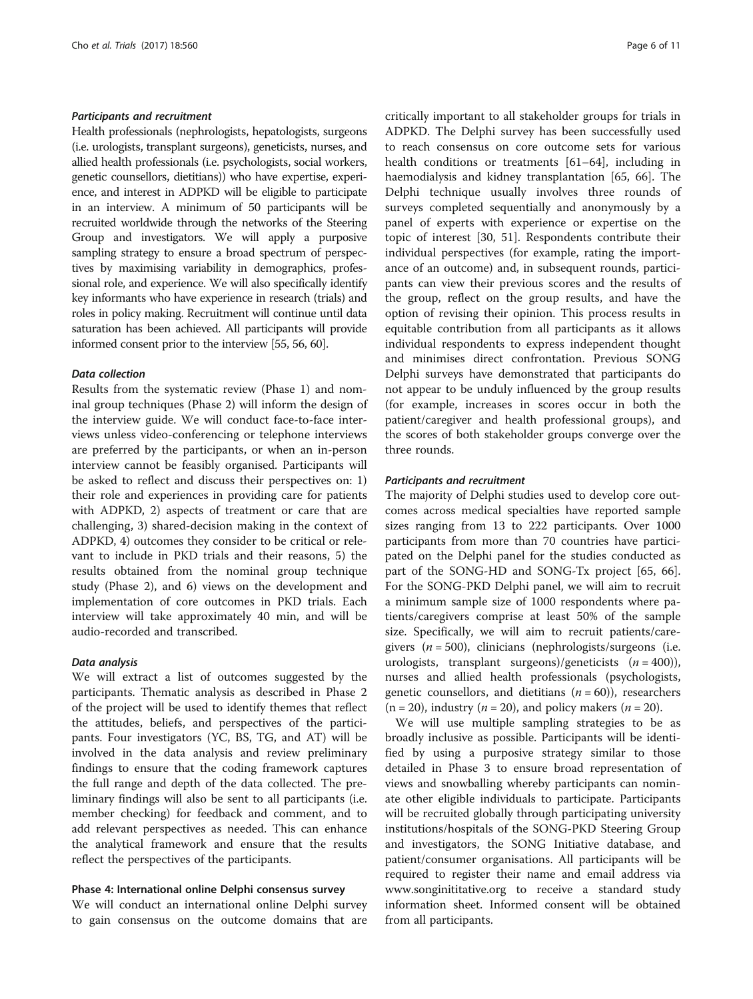## Participants and recruitment

Health professionals (nephrologists, hepatologists, surgeons (i.e. urologists, transplant surgeons), geneticists, nurses, and allied health professionals (i.e. psychologists, social workers, genetic counsellors, dietitians)) who have expertise, experience, and interest in ADPKD will be eligible to participate in an interview. A minimum of 50 participants will be recruited worldwide through the networks of the Steering Group and investigators. We will apply a purposive sampling strategy to ensure a broad spectrum of perspectives by maximising variability in demographics, professional role, and experience. We will also specifically identify key informants who have experience in research (trials) and roles in policy making. Recruitment will continue until data saturation has been achieved. All participants will provide informed consent prior to the interview [\[55, 56, 60\]](#page-10-0).

#### Data collection

Results from the systematic review (Phase 1) and nominal group techniques (Phase 2) will inform the design of the interview guide. We will conduct face-to-face interviews unless video-conferencing or telephone interviews are preferred by the participants, or when an in-person interview cannot be feasibly organised. Participants will be asked to reflect and discuss their perspectives on: 1) their role and experiences in providing care for patients with ADPKD, 2) aspects of treatment or care that are challenging, 3) shared-decision making in the context of ADPKD, 4) outcomes they consider to be critical or relevant to include in PKD trials and their reasons, 5) the results obtained from the nominal group technique study (Phase 2), and 6) views on the development and implementation of core outcomes in PKD trials. Each interview will take approximately 40 min, and will be audio-recorded and transcribed.

#### Data analysis

We will extract a list of outcomes suggested by the participants. Thematic analysis as described in Phase 2 of the project will be used to identify themes that reflect the attitudes, beliefs, and perspectives of the participants. Four investigators (YC, BS, TG, and AT) will be involved in the data analysis and review preliminary findings to ensure that the coding framework captures the full range and depth of the data collected. The preliminary findings will also be sent to all participants (i.e. member checking) for feedback and comment, and to add relevant perspectives as needed. This can enhance the analytical framework and ensure that the results reflect the perspectives of the participants.

#### Phase 4: International online Delphi consensus survey

We will conduct an international online Delphi survey to gain consensus on the outcome domains that are critically important to all stakeholder groups for trials in ADPKD. The Delphi survey has been successfully used to reach consensus on core outcome sets for various health conditions or treatments [[61](#page-10-0)–[64](#page-10-0)], including in haemodialysis and kidney transplantation [\[65](#page-10-0), [66\]](#page-10-0). The Delphi technique usually involves three rounds of surveys completed sequentially and anonymously by a panel of experts with experience or expertise on the topic of interest [\[30](#page-9-0), [51](#page-9-0)]. Respondents contribute their individual perspectives (for example, rating the importance of an outcome) and, in subsequent rounds, participants can view their previous scores and the results of the group, reflect on the group results, and have the option of revising their opinion. This process results in equitable contribution from all participants as it allows individual respondents to express independent thought and minimises direct confrontation. Previous SONG Delphi surveys have demonstrated that participants do not appear to be unduly influenced by the group results (for example, increases in scores occur in both the patient/caregiver and health professional groups), and the scores of both stakeholder groups converge over the three rounds.

#### Participants and recruitment

The majority of Delphi studies used to develop core outcomes across medical specialties have reported sample sizes ranging from 13 to 222 participants. Over 1000 participants from more than 70 countries have participated on the Delphi panel for the studies conducted as part of the SONG-HD and SONG-Tx project [\[65, 66](#page-10-0)]. For the SONG-PKD Delphi panel, we will aim to recruit a minimum sample size of 1000 respondents where patients/caregivers comprise at least 50% of the sample size. Specifically, we will aim to recruit patients/caregivers  $(n = 500)$ , clinicians (nephrologists/surgeons (i.e. urologists, transplant surgeons)/geneticists  $(n = 400)$ ), nurses and allied health professionals (psychologists, genetic counsellors, and dietitians  $(n = 60)$ , researchers  $(n = 20)$ , industry  $(n = 20)$ , and policy makers  $(n = 20)$ .

We will use multiple sampling strategies to be as broadly inclusive as possible. Participants will be identified by using a purposive strategy similar to those detailed in Phase 3 to ensure broad representation of views and snowballing whereby participants can nominate other eligible individuals to participate. Participants will be recruited globally through participating university institutions/hospitals of the SONG-PKD Steering Group and investigators, the SONG Initiative database, and patient/consumer organisations. All participants will be required to register their name and email address via [www.songinititative.org](http://www.songinititative.org/) to receive a standard study information sheet. Informed consent will be obtained from all participants.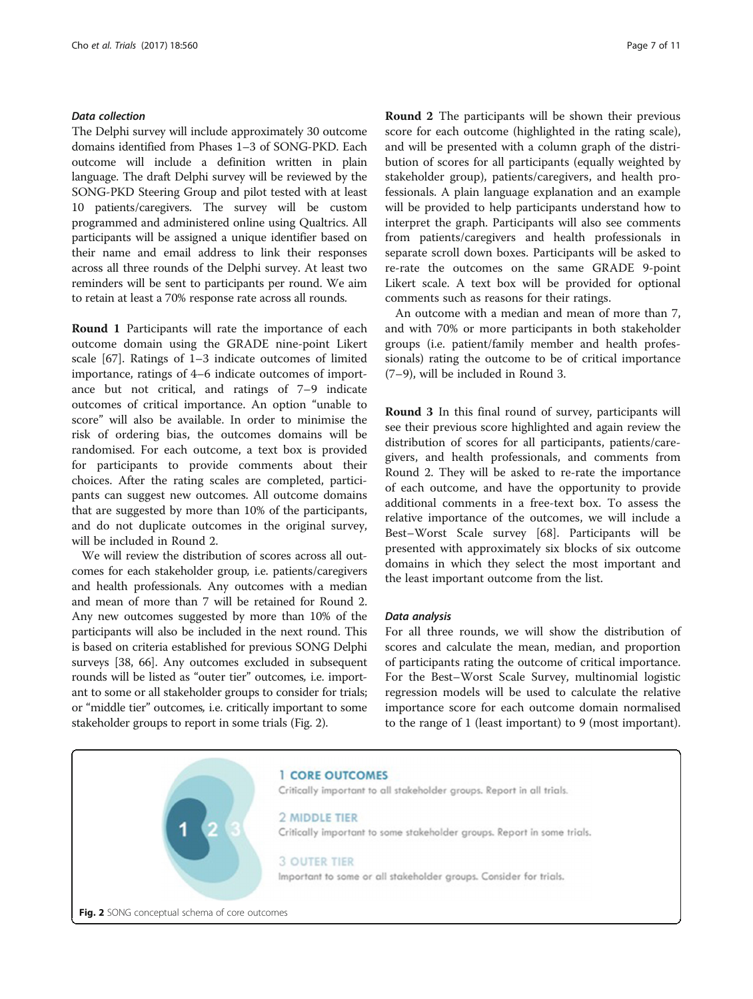#### <span id="page-6-0"></span>Data collection

The Delphi survey will include approximately 30 outcome domains identified from Phases 1–3 of SONG-PKD. Each outcome will include a definition written in plain language. The draft Delphi survey will be reviewed by the SONG-PKD Steering Group and pilot tested with at least 10 patients/caregivers. The survey will be custom programmed and administered online using Qualtrics. All participants will be assigned a unique identifier based on their name and email address to link their responses across all three rounds of the Delphi survey. At least two reminders will be sent to participants per round. We aim to retain at least a 70% response rate across all rounds.

Round 1 Participants will rate the importance of each outcome domain using the GRADE nine-point Likert scale [[67](#page-10-0)]. Ratings of 1–3 indicate outcomes of limited importance, ratings of 4–6 indicate outcomes of importance but not critical, and ratings of 7–9 indicate outcomes of critical importance. An option "unable to score" will also be available. In order to minimise the risk of ordering bias, the outcomes domains will be randomised. For each outcome, a text box is provided for participants to provide comments about their choices. After the rating scales are completed, participants can suggest new outcomes. All outcome domains that are suggested by more than 10% of the participants, and do not duplicate outcomes in the original survey, will be included in Round 2.

We will review the distribution of scores across all outcomes for each stakeholder group, i.e. patients/caregivers and health professionals. Any outcomes with a median and mean of more than 7 will be retained for Round 2. Any new outcomes suggested by more than 10% of the participants will also be included in the next round. This is based on criteria established for previous SONG Delphi surveys [[38](#page-9-0), [66\]](#page-10-0). Any outcomes excluded in subsequent rounds will be listed as "outer tier" outcomes, i.e. important to some or all stakeholder groups to consider for trials; or "middle tier" outcomes, i.e. critically important to some stakeholder groups to report in some trials (Fig. 2).

Round 2 The participants will be shown their previous score for each outcome (highlighted in the rating scale), and will be presented with a column graph of the distribution of scores for all participants (equally weighted by stakeholder group), patients/caregivers, and health professionals. A plain language explanation and an example will be provided to help participants understand how to interpret the graph. Participants will also see comments from patients/caregivers and health professionals in separate scroll down boxes. Participants will be asked to re-rate the outcomes on the same GRADE 9-point Likert scale. A text box will be provided for optional comments such as reasons for their ratings.

An outcome with a median and mean of more than 7, and with 70% or more participants in both stakeholder groups (i.e. patient/family member and health professionals) rating the outcome to be of critical importance (7–9), will be included in Round 3.

Round 3 In this final round of survey, participants will see their previous score highlighted and again review the distribution of scores for all participants, patients/caregivers, and health professionals, and comments from Round 2. They will be asked to re-rate the importance of each outcome, and have the opportunity to provide additional comments in a free-text box. To assess the relative importance of the outcomes, we will include a Best–Worst Scale survey [\[68](#page-10-0)]. Participants will be presented with approximately six blocks of six outcome domains in which they select the most important and the least important outcome from the list.

#### Data analysis

For all three rounds, we will show the distribution of scores and calculate the mean, median, and proportion of participants rating the outcome of critical importance. For the Best–Worst Scale Survey, multinomial logistic regression models will be used to calculate the relative importance score for each outcome domain normalised to the range of 1 (least important) to 9 (most important).

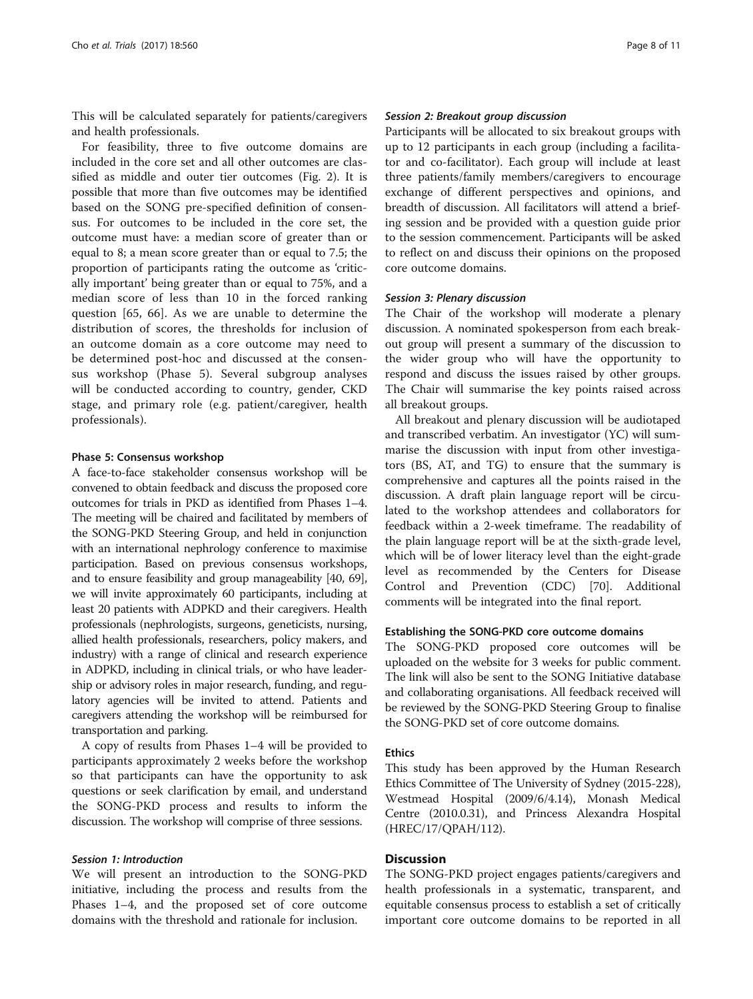This will be calculated separately for patients/caregivers and health professionals.

For feasibility, three to five outcome domains are included in the core set and all other outcomes are classified as middle and outer tier outcomes (Fig. [2](#page-6-0)). It is possible that more than five outcomes may be identified based on the SONG pre-specified definition of consensus. For outcomes to be included in the core set, the outcome must have: a median score of greater than or equal to 8; a mean score greater than or equal to 7.5; the proportion of participants rating the outcome as 'critically important' being greater than or equal to 75%, and a median score of less than 10 in the forced ranking question [[65](#page-10-0), [66\]](#page-10-0). As we are unable to determine the distribution of scores, the thresholds for inclusion of an outcome domain as a core outcome may need to be determined post-hoc and discussed at the consensus workshop (Phase 5). Several subgroup analyses will be conducted according to country, gender, CKD stage, and primary role (e.g. patient/caregiver, health professionals).

#### Phase 5: Consensus workshop

A face-to-face stakeholder consensus workshop will be convened to obtain feedback and discuss the proposed core outcomes for trials in PKD as identified from Phases 1–4. The meeting will be chaired and facilitated by members of the SONG-PKD Steering Group, and held in conjunction with an international nephrology conference to maximise participation. Based on previous consensus workshops, and to ensure feasibility and group manageability [\[40](#page-9-0), [69](#page-10-0)], we will invite approximately 60 participants, including at least 20 patients with ADPKD and their caregivers. Health professionals (nephrologists, surgeons, geneticists, nursing, allied health professionals, researchers, policy makers, and industry) with a range of clinical and research experience in ADPKD, including in clinical trials, or who have leadership or advisory roles in major research, funding, and regulatory agencies will be invited to attend. Patients and caregivers attending the workshop will be reimbursed for transportation and parking.

A copy of results from Phases 1–4 will be provided to participants approximately 2 weeks before the workshop so that participants can have the opportunity to ask questions or seek clarification by email, and understand the SONG-PKD process and results to inform the discussion. The workshop will comprise of three sessions.

#### Session 1: Introduction

We will present an introduction to the SONG-PKD initiative, including the process and results from the Phases 1–4, and the proposed set of core outcome domains with the threshold and rationale for inclusion.

#### Session 2: Breakout group discussion

Participants will be allocated to six breakout groups with up to 12 participants in each group (including a facilitator and co-facilitator). Each group will include at least three patients/family members/caregivers to encourage exchange of different perspectives and opinions, and breadth of discussion. All facilitators will attend a briefing session and be provided with a question guide prior to the session commencement. Participants will be asked to reflect on and discuss their opinions on the proposed core outcome domains.

#### Session 3: Plenary discussion

The Chair of the workshop will moderate a plenary discussion. A nominated spokesperson from each breakout group will present a summary of the discussion to the wider group who will have the opportunity to respond and discuss the issues raised by other groups. The Chair will summarise the key points raised across all breakout groups.

All breakout and plenary discussion will be audiotaped and transcribed verbatim. An investigator (YC) will summarise the discussion with input from other investigators (BS, AT, and TG) to ensure that the summary is comprehensive and captures all the points raised in the discussion. A draft plain language report will be circulated to the workshop attendees and collaborators for feedback within a 2-week timeframe. The readability of the plain language report will be at the sixth-grade level, which will be of lower literacy level than the eight-grade level as recommended by the Centers for Disease Control and Prevention (CDC) [\[70](#page-10-0)]. Additional comments will be integrated into the final report.

#### Establishing the SONG-PKD core outcome domains

The SONG-PKD proposed core outcomes will be uploaded on the website for 3 weeks for public comment. The link will also be sent to the SONG Initiative database and collaborating organisations. All feedback received will be reviewed by the SONG-PKD Steering Group to finalise the SONG-PKD set of core outcome domains.

#### Ethics

This study has been approved by the Human Research Ethics Committee of The University of Sydney (2015-228), Westmead Hospital (2009/6/4.14), Monash Medical Centre (2010.0.31), and Princess Alexandra Hospital (HREC/17/QPAH/112).

# **Discussion**

The SONG-PKD project engages patients/caregivers and health professionals in a systematic, transparent, and equitable consensus process to establish a set of critically important core outcome domains to be reported in all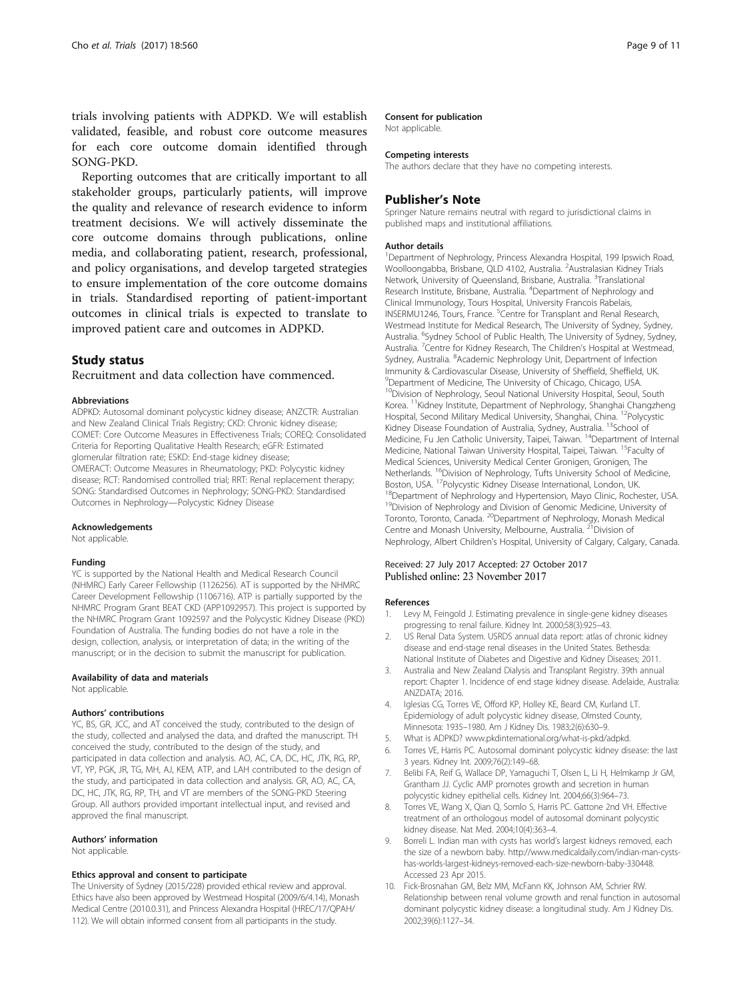<span id="page-8-0"></span>trials involving patients with ADPKD. We will establish validated, feasible, and robust core outcome measures for each core outcome domain identified through SONG-PKD.

Reporting outcomes that are critically important to all stakeholder groups, particularly patients, will improve the quality and relevance of research evidence to inform treatment decisions. We will actively disseminate the core outcome domains through publications, online media, and collaborating patient, research, professional, and policy organisations, and develop targeted strategies to ensure implementation of the core outcome domains in trials. Standardised reporting of patient-important outcomes in clinical trials is expected to translate to improved patient care and outcomes in ADPKD.

# Study status

Recruitment and data collection have commenced.

#### Abbreviations

ADPKD: Autosomal dominant polycystic kidney disease; ANZCTR: Australian and New Zealand Clinical Trials Registry; CKD: Chronic kidney disease; COMET: Core Outcome Measures in Effectiveness Trials; COREQ: Consolidated Criteria for Reporting Qualitative Health Research; eGFR: Estimated glomerular filtration rate; ESKD: End-stage kidney disease; OMERACT: Outcome Measures in Rheumatology; PKD: Polycystic kidney disease; RCT: Randomised controlled trial; RRT: Renal replacement therapy; SONG: Standardised Outcomes in Nephrology; SONG-PKD: Standardised Outcomes in Nephrology—Polycystic Kidney Disease

#### Acknowledgements

Not applicable.

#### Funding

YC is supported by the National Health and Medical Research Council (NHMRC) Early Career Fellowship (1126256). AT is supported by the NHMRC Career Development Fellowship (1106716). ATP is partially supported by the NHMRC Program Grant BEAT CKD (APP1092957). This project is supported by the NHMRC Program Grant 1092597 and the Polycystic Kidney Disease (PKD) Foundation of Australia. The funding bodies do not have a role in the design, collection, analysis, or interpretation of data; in the writing of the manuscript; or in the decision to submit the manuscript for publication.

#### Availability of data and materials

Not applicable.

#### Authors' contributions

YC, BS, GR, JCC, and AT conceived the study, contributed to the design of the study, collected and analysed the data, and drafted the manuscript. TH conceived the study, contributed to the design of the study, and participated in data collection and analysis. AO, AC, CA, DC, HC, JTK, RG, RP, VT, YP, PGK, JR, TG, MH, AJ, KEM, ATP, and LAH contributed to the design of the study, and participated in data collection and analysis. GR, AO, AC, CA, DC, HC, JTK, RG, RP, TH, and VT are members of the SONG-PKD Steering Group. All authors provided important intellectual input, and revised and approved the final manuscript.

#### Authors' information

Not applicable.

#### Ethics approval and consent to participate

The University of Sydney (2015/228) provided ethical review and approval. Ethics have also been approved by Westmead Hospital (2009/6/4.14), Monash Medical Centre (2010.0.31), and Princess Alexandra Hospital (HREC/17/QPAH/ 112). We will obtain informed consent from all participants in the study.

#### Consent for publication

Not applicable.

#### Competing interests

The authors declare that they have no competing interests.

#### Publisher's Note

Springer Nature remains neutral with regard to jurisdictional claims in published maps and institutional affiliations.

#### Author details

<sup>1</sup>Department of Nephrology, Princess Alexandra Hospital, 199 Ipswich Road Woolloongabba, Brisbane, QLD 4102, Australia. <sup>2</sup>Australasian Kidney Trials Network, University of Queensland, Brisbane, Australia. <sup>3</sup>Translational Research Institute, Brisbane, Australia. <sup>4</sup>Department of Nephrology and Clinical Immunology, Tours Hospital, University Francois Rabelais, INSERMU1246, Tours, France. <sup>5</sup>Centre for Transplant and Renal Research Westmead Institute for Medical Research, The University of Sydney, Sydney, Australia. <sup>6</sup>Sydney School of Public Health, The University of Sydney, Sydney Australia.<sup>7</sup> Centre for Kidney Research, The Children's Hospital at Westmead Sydney, Australia. <sup>8</sup> Academic Nephrology Unit, Department of Infection Immunity & Cardiovascular Disease, University of Sheffield, Sheffield, UK. <sup>9</sup>Department of Medicine, The University of Chicago, Chicago, USA <sup>10</sup>Division of Nephrology, Seoul National University Hospital, Seoul, South Korea. <sup>11</sup>Kidney Institute, Department of Nephrology, Shanghai Changzheng Hospital, Second Military Medical University, Shanghai, China. <sup>12</sup>Polycystic Kidney Disease Foundation of Australia, Sydney, Australia. <sup>13</sup>School of Medicine, Fu Jen Catholic University, Taipei, Taiwan. 14Department of Internal Medicine, National Taiwan University Hospital, Taipei, Taiwan. 15Faculty of Medical Sciences, University Medical Center Gronigen, Gronigen, The Netherlands. <sup>16</sup>Division of Nephrology, Tufts University School of Medicine, Poston, USA. <sup>17</sup> Polycystic Kidney Disease International, London, UK.<br><sup>18</sup>Department of Nephrology and Hypertension, Mayo Clinic, Rochester, USA. <sup>19</sup>Division of Nephrology and Division of Genomic Medicine, University of Toronto, Toronto, Canada. 20Department of Nephrology, Monash Medical Centre and Monash University, Melbourne, Australia.<sup>21</sup>Division of Nephrology, Albert Children's Hospital, University of Calgary, Calgary, Canada.

#### Received: 27 July 2017 Accepted: 27 October 2017 Published online: 23 November 2017

#### References

- 1. Levy M, Feingold J. Estimating prevalence in single-gene kidney diseases progressing to renal failure. Kidney Int. 2000;58(3):925–43.
- US Renal Data System. USRDS annual data report: atlas of chronic kidney disease and end-stage renal diseases in the United States. Bethesda: National Institute of Diabetes and Digestive and Kidney Diseases; 2011.
- 3. Australia and New Zealand Dialysis and Transplant Registry. 39th annual report: Chapter 1. Incidence of end stage kidney disease. Adelaide, Australia: ANZDATA; 2016.
- 4. Iglesias CG, Torres VE, Offord KP, Holley KE, Beard CM, Kurland LT. Epidemiology of adult polycystic kidney disease, Olmsted County, Minnesota: 1935–1980. Am J Kidney Dis. 1983;2(6):630–9.
- 5. What is ADPKD? [www.pkdinternational.org/what-is-pkd/adpkd.](http://www.pkdinternational.org/what-is-pkd/adpkd)
- 6. Torres VE, Harris PC. Autosomal dominant polycystic kidney disease: the last 3 years. Kidney Int. 2009;76(2):149–68.
- 7. Belibi FA, Reif G, Wallace DP, Yamaguchi T, Olsen L, Li H, Helmkamp Jr GM, Grantham JJ. Cyclic AMP promotes growth and secretion in human polycystic kidney epithelial cells. Kidney Int. 2004;66(3):964–73.
- 8. Torres VE, Wang X, Qian Q, Somlo S, Harris PC. Gattone 2nd VH. Effective treatment of an orthologous model of autosomal dominant polycystic kidney disease. Nat Med. 2004;10(4):363–4.
- 9. Borreli L. Indian man with cysts has world's largest kidneys removed, each the size of a newborn baby. [http://www.medicaldaily.com/indian-man-cysts](http://www.medicaldaily.com/indian-man-cysts-has-worlds-largest-kidneys-removed-each-size-newborn-baby-330448)[has-worlds-largest-kidneys-removed-each-size-newborn-baby-330448.](http://www.medicaldaily.com/indian-man-cysts-has-worlds-largest-kidneys-removed-each-size-newborn-baby-330448) Accessed 23 Apr 2015.
- 10. Fick-Brosnahan GM, Belz MM, McFann KK, Johnson AM, Schrier RW. Relationship between renal volume growth and renal function in autosomal dominant polycystic kidney disease: a longitudinal study. Am J Kidney Dis. 2002;39(6):1127–34.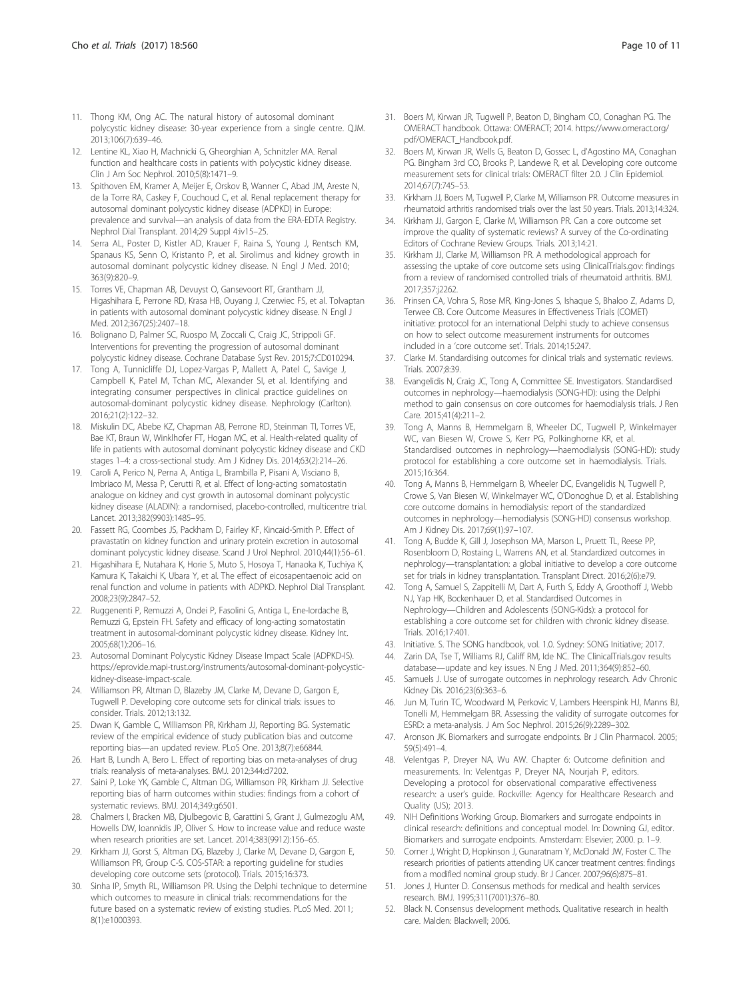- <span id="page-9-0"></span>11. Thong KM, Ong AC. The natural history of autosomal dominant polycystic kidney disease: 30-year experience from a single centre. QJM. 2013;106(7):639–46.
- 12. Lentine KL, Xiao H, Machnicki G, Gheorghian A, Schnitzler MA. Renal function and healthcare costs in patients with polycystic kidney disease. Clin J Am Soc Nephrol. 2010;5(8):1471–9.
- 13. Spithoven EM, Kramer A, Meijer E, Orskov B, Wanner C, Abad JM, Areste N, de la Torre RA, Caskey F, Couchoud C, et al. Renal replacement therapy for autosomal dominant polycystic kidney disease (ADPKD) in Europe: prevalence and survival—an analysis of data from the ERA-EDTA Registry. Nephrol Dial Transplant. 2014;29 Suppl 4:iv15–25.
- 14. Serra AL, Poster D, Kistler AD, Krauer F, Raina S, Young J, Rentsch KM, Spanaus KS, Senn O, Kristanto P, et al. Sirolimus and kidney growth in autosomal dominant polycystic kidney disease. N Engl J Med. 2010; 363(9):820–9.
- 15. Torres VE, Chapman AB, Devuyst O, Gansevoort RT, Grantham JJ, Higashihara E, Perrone RD, Krasa HB, Ouyang J, Czerwiec FS, et al. Tolvaptan in patients with autosomal dominant polycystic kidney disease. N Engl J Med. 2012;367(25):2407–18.
- 16. Bolignano D, Palmer SC, Ruospo M, Zoccali C, Craig JC, Strippoli GF. Interventions for preventing the progression of autosomal dominant polycystic kidney disease. Cochrane Database Syst Rev. 2015;7:CD010294.
- 17. Tong A, Tunnicliffe DJ, Lopez-Vargas P, Mallett A, Patel C, Savige J, Campbell K, Patel M, Tchan MC, Alexander SI, et al. Identifying and integrating consumer perspectives in clinical practice guidelines on autosomal-dominant polycystic kidney disease. Nephrology (Carlton). 2016;21(2):122–32.
- 18. Miskulin DC, Abebe KZ, Chapman AB, Perrone RD, Steinman TI, Torres VE, Bae KT, Braun W, Winklhofer FT, Hogan MC, et al. Health-related quality of life in patients with autosomal dominant polycystic kidney disease and CKD stages 1–4: a cross-sectional study. Am J Kidney Dis. 2014;63(2):214–26.
- 19. Caroli A, Perico N, Perna A, Antiga L, Brambilla P, Pisani A, Visciano B, Imbriaco M, Messa P, Cerutti R, et al. Effect of long-acting somatostatin analogue on kidney and cyst growth in autosomal dominant polycystic kidney disease (ALADIN): a randomised, placebo-controlled, multicentre trial. Lancet. 2013;382(9903):1485–95.
- 20. Fassett RG, Coombes JS, Packham D, Fairley KF, Kincaid-Smith P. Effect of pravastatin on kidney function and urinary protein excretion in autosomal dominant polycystic kidney disease. Scand J Urol Nephrol. 2010;44(1):56–61.
- 21. Higashihara E, Nutahara K, Horie S, Muto S, Hosoya T, Hanaoka K, Tuchiya K, Kamura K, Takaichi K, Ubara Y, et al. The effect of eicosapentaenoic acid on renal function and volume in patients with ADPKD. Nephrol Dial Transplant. 2008;23(9):2847–52.
- 22. Ruggenenti P, Remuzzi A, Ondei P, Fasolini G, Antiga L, Ene-Iordache B, Remuzzi G, Epstein FH. Safety and efficacy of long-acting somatostatin treatment in autosomal-dominant polycystic kidney disease. Kidney Int. 2005;68(1):206–16.
- 23. Autosomal Dominant Polycystic Kidney Disease Impact Scale (ADPKD-IS). [https://eprovide.mapi-trust.org/instruments/autosomal-dominant-polycystic](https://eprovide.mapi-trust.org/instruments/autosomal-dominant-polycystic-kidney-disease-impact-scale)[kidney-disease-impact-scale](https://eprovide.mapi-trust.org/instruments/autosomal-dominant-polycystic-kidney-disease-impact-scale).
- 24. Williamson PR, Altman D, Blazeby JM, Clarke M, Devane D, Gargon E, Tugwell P. Developing core outcome sets for clinical trials: issues to consider. Trials. 2012;13:132.
- 25. Dwan K, Gamble C, Williamson PR, Kirkham JJ, Reporting BG. Systematic review of the empirical evidence of study publication bias and outcome reporting bias—an updated review. PLoS One. 2013;8(7):e66844.
- 26. Hart B, Lundh A, Bero L. Effect of reporting bias on meta-analyses of drug trials: reanalysis of meta-analyses. BMJ. 2012;344:d7202.
- 27. Saini P, Loke YK, Gamble C, Altman DG, Williamson PR, Kirkham JJ. Selective reporting bias of harm outcomes within studies: findings from a cohort of systematic reviews. BMJ. 2014;349:g6501.
- 28. Chalmers I, Bracken MB, Djulbegovic B, Garattini S, Grant J, Gulmezoglu AM, Howells DW, Ioannidis JP, Oliver S. How to increase value and reduce waste when research priorities are set. Lancet. 2014;383(9912):156–65.
- 29. Kirkham JJ, Gorst S, Altman DG, Blazeby J, Clarke M, Devane D, Gargon E, Williamson PR, Group C-S. COS-STAR: a reporting guideline for studies developing core outcome sets (protocol). Trials. 2015;16:373.
- 30. Sinha IP, Smyth RL, Williamson PR. Using the Delphi technique to determine which outcomes to measure in clinical trials: recommendations for the future based on a systematic review of existing studies. PLoS Med. 2011; 8(1):e1000393.
- 31. Boers M, Kirwan JR, Tugwell P, Beaton D, Bingham CO, Conaghan PG. The OMERACT handbook. Ottawa: OMERACT; 2014. [https://www.omeract.org/](https://www.omeract.org/pdf/OMERACT_Handbook.pdf) [pdf/OMERACT\\_Handbook.pdf](https://www.omeract.org/pdf/OMERACT_Handbook.pdf).
- 32. Boers M, Kirwan JR, Wells G, Beaton D, Gossec L, d'Agostino MA, Conaghan PG. Bingham 3rd CO, Brooks P, Landewe R, et al. Developing core outcome measurement sets for clinical trials: OMERACT filter 2.0. J Clin Epidemiol. 2014;67(7):745–53.
- 33. Kirkham JJ, Boers M, Tugwell P, Clarke M, Williamson PR. Outcome measures in rheumatoid arthritis randomised trials over the last 50 years. Trials. 2013;14:324.
- 34. Kirkham JJ, Gargon E, Clarke M, Williamson PR. Can a core outcome set improve the quality of systematic reviews? A survey of the Co-ordinating Editors of Cochrane Review Groups. Trials. 2013;14:21.
- 35. Kirkham JJ, Clarke M, Williamson PR. A methodological approach for assessing the uptake of core outcome sets using ClinicalTrials.gov: findings from a review of randomised controlled trials of rheumatoid arthritis. BMJ. 2017;357:j2262.
- 36. Prinsen CA, Vohra S, Rose MR, King-Jones S, Ishaque S, Bhaloo Z, Adams D, Terwee CB. Core Outcome Measures in Effectiveness Trials (COMET) initiative: protocol for an international Delphi study to achieve consensus on how to select outcome measurement instruments for outcomes included in a 'core outcome set'. Trials. 2014;15:247.
- 37. Clarke M. Standardising outcomes for clinical trials and systematic reviews. Trials. 2007;8:39.
- 38. Evangelidis N, Craig JC, Tong A, Committee SE. Investigators. Standardised outcomes in nephrology—haemodialysis (SONG-HD): using the Delphi method to gain consensus on core outcomes for haemodialysis trials. J Ren Care. 2015;41(4):211–2.
- 39. Tong A, Manns B, Hemmelgarn B, Wheeler DC, Tugwell P, Winkelmayer WC, van Biesen W, Crowe S, Kerr PG, Polkinghorne KR, et al. Standardised outcomes in nephrology—haemodialysis (SONG-HD): study protocol for establishing a core outcome set in haemodialysis. Trials. 2015;16:364.
- 40. Tong A, Manns B, Hemmelgarn B, Wheeler DC, Evangelidis N, Tugwell P, Crowe S, Van Biesen W, Winkelmayer WC, O'Donoghue D, et al. Establishing core outcome domains in hemodialysis: report of the standardized outcomes in nephrology—hemodialysis (SONG-HD) consensus workshop. Am J Kidney Dis. 2017;69(1):97–107.
- 41. Tong A, Budde K, Gill J, Josephson MA, Marson L, Pruett TL, Reese PP, Rosenbloom D, Rostaing L, Warrens AN, et al. Standardized outcomes in nephrology—transplantation: a global initiative to develop a core outcome set for trials in kidney transplantation. Transplant Direct. 2016;2(6):e79.
- 42. Tong A, Samuel S, Zappitelli M, Dart A, Furth S, Eddy A, Groothoff J, Webb NJ, Yap HK, Bockenhauer D, et al. Standardised Outcomes in Nephrology—Children and Adolescents (SONG-Kids): a protocol for establishing a core outcome set for children with chronic kidney disease. Trials. 2016;17:401.
- 43. Initiative. S. The SONG handbook, vol. 1.0. Sydney: SONG Initiative; 2017.
- 44. Zarin DA, Tse T, Williams RJ, Califf RM, Ide NC. The ClinicalTrials.gov results database—update and key issues. N Eng J Med. 2011;364(9):852–60.
- 45. Samuels J. Use of surrogate outcomes in nephrology research. Adv Chronic Kidney Dis. 2016;23(6):363–6.
- 46. Jun M, Turin TC, Woodward M, Perkovic V, Lambers Heerspink HJ, Manns BJ, Tonelli M, Hemmelgarn BR. Assessing the validity of surrogate outcomes for ESRD: a meta-analysis. J Am Soc Nephrol. 2015;26(9):2289–302.
- 47. Aronson JK. Biomarkers and surrogate endpoints. Br J Clin Pharmacol. 2005; 59(5):491–4.
- 48. Velentgas P, Dreyer NA, Wu AW. Chapter 6: Outcome definition and measurements. In: Velentgas P, Dreyer NA, Nourjah P, editors. Developing a protocol for observational comparative effectiveness research: a user's guide. Rockville: Agency for Healthcare Research and Quality (US); 2013.
- 49. NIH Definitions Working Group. Biomarkers and surrogate endpoints in clinical research: definitions and conceptual model. In: Downing GJ, editor. Biomarkers and surrogate endpoints. Amsterdam: Elsevier; 2000. p. 1–9.
- 50. Corner J, Wright D, Hopkinson J, Gunaratnam Y, McDonald JW, Foster C. The research priorities of patients attending UK cancer treatment centres: findings from a modified nominal group study. Br J Cancer. 2007;96(6):875–81.
- 51. Jones J, Hunter D. Consensus methods for medical and health services research. BMJ. 1995;311(7001):376–80.
- 52. Black N. Consensus development methods. Qualitative research in health care. Malden: Blackwell; 2006.